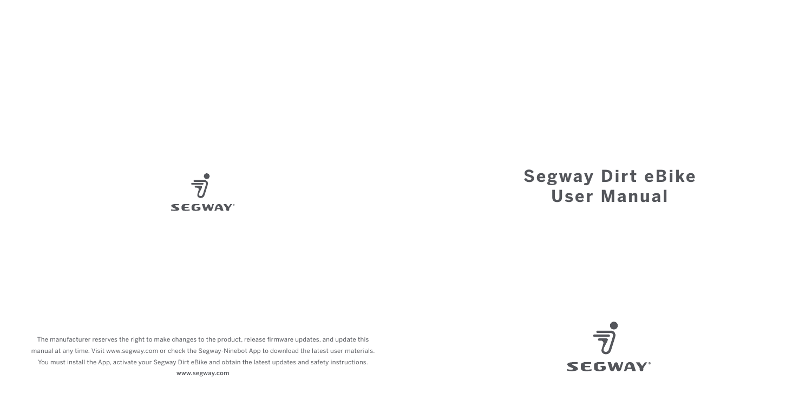

# **Segway Dirt eBike User Manual**

The manufacturer reserves the right to make changes to the product, release firmware updates, and update this manual at any time. Visit www.segway.com or check the Segway-Ninebot App to download the latest user materials. You must install the App, activate your Segway Dirt eBike and obtain the latest updates and safety instructions. www.segway.com

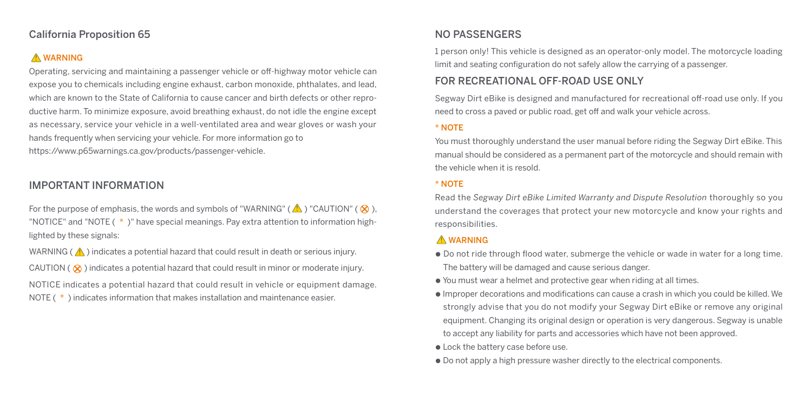## California Proposition 65

# **A** WARNING

Operating, servicing and maintaining a passenger vehicle or off-highway motor vehicle can expose you to chemicals including engine exhaust, carbon monoxide, phthalates, and lead, which are known to the State of California to cause cancer and birth defects or other reproductive harm. To minimize exposure, avoid breathing exhaust, do not idle the engine except as necessary, service your vehicle in a well-ventilated area and wear gloves or wash your hands frequently when servicing your vehicle. For more information go to https://www.p65warnings.ca.gov/products/passenger-vehicle.

# IMPORTANT INFORMATION

For the purpose of emphasis, the words and symbols of "WARNING" ( $\triangle$ ) "CAUTION" ( $\otimes$ ). "NOTICE" and "NOTE ( \* )" have special meanings. Pay extra attention to information highlighted by these signals:

WARNING ( $\bigwedge$ ) indicates a potential hazard that could result in death or serious injury.

CAUTION ( $\otimes$ ) indicates a potential hazard that could result in minor or moderate injury. NOTICE indicates a potential hazard that could result in vehicle or equipment damage. NOTE ( $*$ ) indicates information that makes installation and maintenance easier.

# NO PASSENGERS

1 person only! This vehicle is designed as an operator-only model. The motorcycle loading limit and seating configuration do not safely allow the carrying of a passenger.

# FOR RECREATIONAL OFF-ROAD USE ONLY

Segway Dirt eBike is designed and manufactured for recreational off-road use only. If you need to cross a paved or public road, get off and walk your vehicle across.

#### \* NOTE

You must thoroughly understand the user manual before riding the Segway Dirt eBike. This manual should be considered as a permanent part of the motorcycle and should remain with the vehicle when it is resold.

#### \* NOTE

Read the *Segway Dirt eBike Limited Warranty and Dispute Resolution* thoroughly so you understand the coverages that protect your new motorcycle and know your rights and responsibilities.

## **A** WARNING

- Do not ride through flood water, submerge the vehicle or wade in water for a long time. The battery will be damaged and cause serious danger.
- You must wear a helmet and protective gear when riding at all times.
- Improper decorations and modifications can cause a crash in which you could be killed. We strongly advise that you do not modify your Segway Dirt eBike or remove any original equipment. Changing its original design or operation is very dangerous. Segway is unable to accept any liability for parts and accessories which have not been approved.
- Lock the battery case before use.
- Do not apply a high pressure washer directly to the electrical components.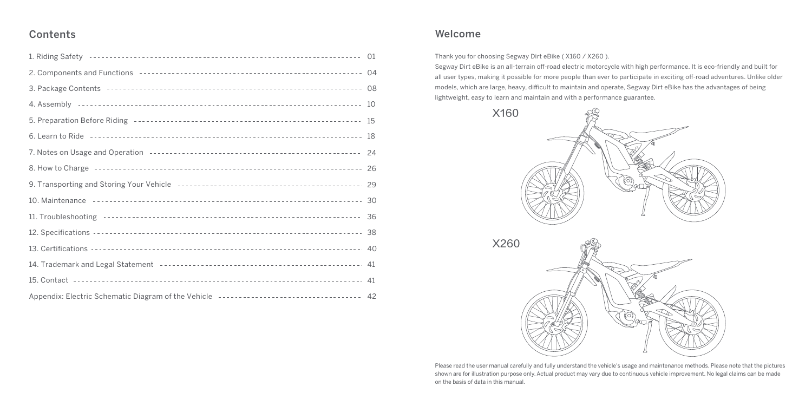# **Contents**

|                                                                                                                                                                                                                                    | 10 |
|------------------------------------------------------------------------------------------------------------------------------------------------------------------------------------------------------------------------------------|----|
|                                                                                                                                                                                                                                    | 15 |
|                                                                                                                                                                                                                                    | 18 |
| 7. Notes on Usage and Operation <b>Face Election</b> 2014 100 and 2016 100 and 2016 100 and 2016 100 and 2016 100 and 2016 100 and 2016 100 and 2016 100 and 2016 100 and 2016 100 and 2016 100 and 2016 100 and 2016 100 and 2016 | 24 |
| 8. How to Charge <b>Figure 2010 CONDITED 2010 CONDITED 30 CONDITED 2010 CONDITED 2010 CONDITED 2010 CONDITED 30</b>                                                                                                                | 26 |
|                                                                                                                                                                                                                                    |    |
|                                                                                                                                                                                                                                    |    |
|                                                                                                                                                                                                                                    |    |
|                                                                                                                                                                                                                                    |    |
|                                                                                                                                                                                                                                    | 40 |
|                                                                                                                                                                                                                                    |    |
|                                                                                                                                                                                                                                    |    |
|                                                                                                                                                                                                                                    |    |

## Welcome

Thank you for choosing Segway Dirt eBike ( X160 / X260 ).

Segway Dirt eBike is an all-terrain off-road electric motorcycle with high performance. It is eco-friendly and built for all user types, making it possible for more people than ever to participate in exciting off-road adventures. Unlike older models, which are large, heavy, difficult to maintain and operate, Segway Dirt eBike has the advantages of being lightweight, easy to learn and maintain and with a performance guarantee.



X260



Please read the user manual carefully and fully understand the vehicle's usage and maintenance methods. Please note that the pictures shown are for illustration purpose only. Actual product may vary due to continuous vehicle improvement. No legal claims can be made on the basis of data in this manual.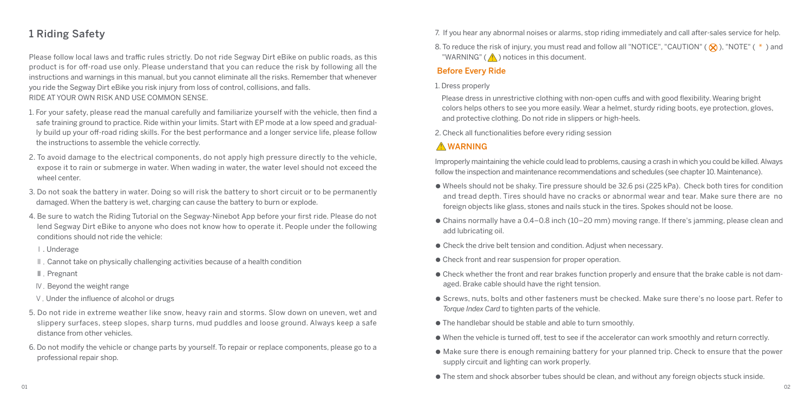# 1 Riding Safety

Please follow local laws and traffic rules strictly. Do not ride Segway Dirt eBike on public roads, as this product is for off-road use only. Please understand that you can reduce the risk by following all the instructions and warnings in this manual, but you cannot eliminate all the risks. Remember that whenever you ride the Segway Dirt eBike you risk injury from loss of control, collisions, and falls. RIDE AT YOUR OWN RISK AND USE COMMON SENSE.

- 1. For your safety, please read the manual carefully and familiarize yourself with the vehicle, then find a safe training ground to practice. Ride within your limits. Start with EP mode at a low speed and gradually build up your off-road riding skills. For the best performance and a longer service life, please follow the instructions to assemble the vehicle correctly.
- 2. To avoid damage to the electrical components, do not apply high pressure directly to the vehicle, expose it to rain or submerge in water. When wading in water, the water level should not exceed the wheel center.
- 3. Do not soak the battery in water. Doing so will risk the battery to short circuit or to be permanently damaged. When the battery is wet, charging can cause the battery to burn or explode.
- 4. Be sure to watch the Riding Tutorial on the Segway-Ninebot App before your first ride. Please do not lend Segway Dirt eBike to anyone who does not know how to operate it. People under the following conditions should not ride the vehicle:
- Ⅰ. Underage
- Ⅱ. Cannot take on physically challenging activities because of a health condition
- Ⅲ. Pregnant
- Ⅳ. Beyond the weight range
- Ⅴ. Under the influence of alcohol or drugs
- 5. Do not ride in extreme weather like snow, heavy rain and storms. Slow down on uneven, wet and slippery surfaces, steep slopes, sharp turns, mud puddles and loose ground. Always keep a safe distance from other vehicles.
- 6. Do not modify the vehicle or change parts by yourself. To repair or replace components, please go to a professional repair shop.

7. If you hear any abnormal noises or alarms, stop riding immediately and call after-sales service for help.

8. To reduce the risk of injury, you must read and follow all "NOTICE", "CAUTION" ( $\otimes$ ), "NOTE" (  $*$  ) and "WARNING" ( $\bigwedge$ ) notices in this document.

#### Before Every Ride

#### 1. Dress properly

 Please dress in unrestrictive clothing with non-open cuffs and with good flexibility. Wearing bright colors helps others to see you more easily. Wear a helmet, sturdy riding boots, eye protection, gloves, and protective clothing. Do not ride in slippers or high-heels.

2. Check all functionalities before every riding session

## **A** WARNING

Improperly maintaining the vehicle could lead to problems, causing a crash in which you could be killed. Always follow the inspection and maintenance recommendations and schedules (see chapter 10. Maintenance).

- Wheels should not be shaky. Tire pressure should be 32.6 psi (225 kPa). Check both tires for condition and tread depth. Tires should have no cracks or abnormal wear and tear. Make sure there are no foreign objects like glass, stones and nails stuck in the tires. Spokes should not be loose.
- Chains normally have a 0.4–0.8 inch (10–20 mm) moving range. If there's jamming, please clean and add lubricating oil.
- Check the drive belt tension and condition. Adjust when necessary.
- Check front and rear suspension for proper operation.
- Check whether the front and rear brakes function properly and ensure that the brake cable is not damaged. Brake cable should have the right tension.
- Screws, nuts, bolts and other fasteners must be checked. Make sure there's no loose part. Refer to *Torque Index Card* to tighten parts of the vehicle.
- The handlebar should be stable and able to turn smoothly.
- When the vehicle is turned off, test to see if the accelerator can work smoothly and return correctly.
- Make sure there is enough remaining battery for your planned trip. Check to ensure that the power supply circuit and lighting can work properly.
- The stem and shock absorber tubes should be clean, and without any foreign objects stuck inside.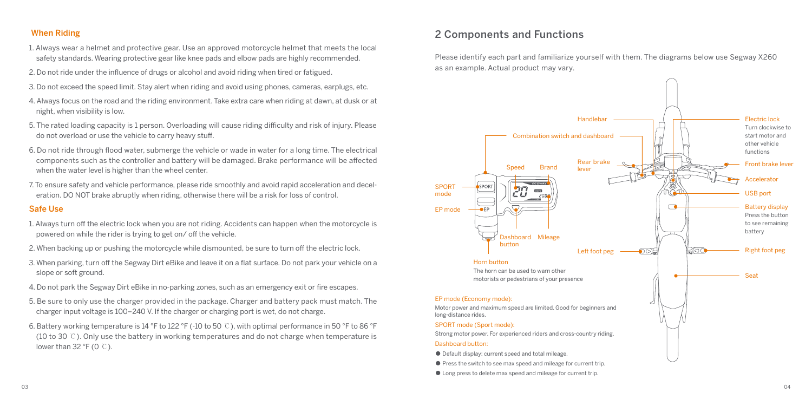#### When Riding

- 1. Always wear a helmet and protective gear. Use an approved motorcycle helmet that meets the local safety standards. Wearing protective gear like knee pads and elbow pads are highly recommended.
- 2. Do not ride under the influence of drugs or alcohol and avoid riding when tired or fatigued.
- 3. Do not exceed the speed limit. Stay alert when riding and avoid using phones, cameras, earplugs, etc.
- 4. Always focus on the road and the riding environment. Take extra care when riding at dawn, at dusk or at night, when visibility is low.
- 5. The rated loading capacity is 1 person. Overloading will cause riding difficulty and risk of injury. Please do not overload or use the vehicle to carry heavy stuff.
- 6. Do not ride through flood water, submerge the vehicle or wade in water for a long time. The electrical components such as the controller and battery will be damaged. Brake performance will be affected when the water level is higher than the wheel center.
- 7. To ensure safety and vehicle performance, please ride smoothly and avoid rapid acceleration and deceleration. DO NOT brake abruptly when riding, otherwise there will be a risk for loss of control.

#### Safe Use

- 1. Always turn off the electric lock when you are not riding. Accidents can happen when the motorcycle is powered on while the rider is trying to get on/ off the vehicle.
- 2. When backing up or pushing the motorcycle while dismounted, be sure to turn off the electric lock.
- 3. When parking, turn off the Segway Dirt eBike and leave it on a flat surface. Do not park your vehicle on a slope or soft ground.
- 4. Do not park the Segway Dirt eBike in no-parking zones, such as an emergency exit or fire escapes.
- 5. Be sure to only use the charger provided in the package. Charger and battery pack must match. The charger input voltage is 100–240 V. If the charger or charging port is wet, do not charge.
- 6. Battery working temperature is 14 °F to 122 °F (-10 to 50 ℃), with optimal performance in 50 °F to 86 °F (10 to 30 ℃). Only use the battery in working temperatures and do not charge when temperature is lower than 32 °F (0 ℃).

# 2 Components and Functions

Please identify each part and familiarize yourself with them. The diagrams below use Segway X260 as an example. Actual product may vary.

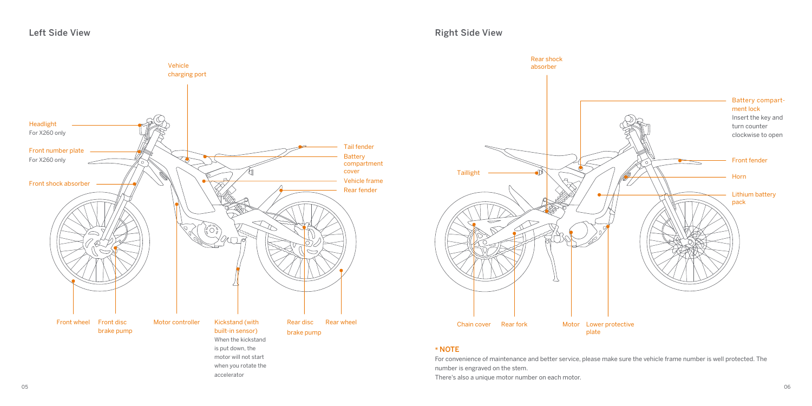



#### \* NOTE

For convenience of maintenance and better service, please make sure the vehicle frame number is well protected. The number is engraved on the stem.

There's also a unique motor number on each motor.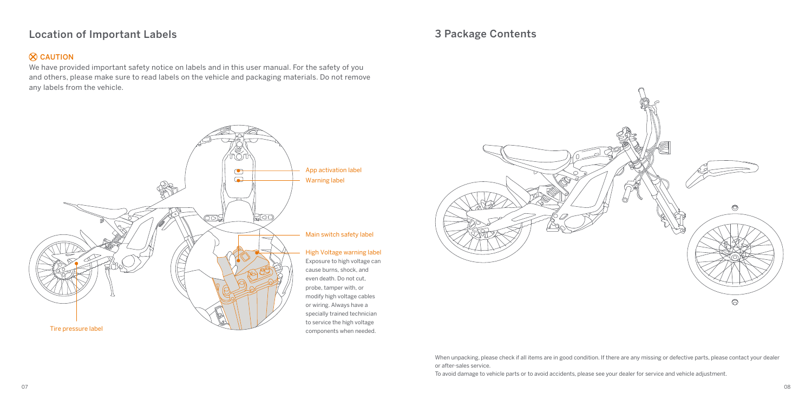# Location of Important Labels

## $\otimes$  CAUTION

We have provided important safety notice on labels and in this user manual. For the safety of you and others, please make sure to read labels on the vehicle and packaging materials. Do not remove any labels from the vehicle.



# 3 Package Contents



When unpacking, please check if all items are in good condition. If there are any missing or defective parts, please contact your dealer or after-sales service.

To avoid damage to vehicle parts or to avoid accidents, please see your dealer for service and vehicle adjustment.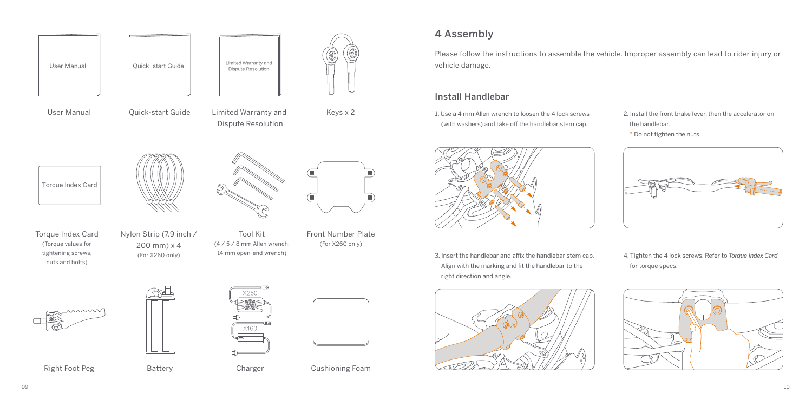

# wwww

Right Foot Peg

Battery



Charger



Cushioning Foam

# 4 Assembly

Please follow the instructions to assemble the vehicle. Improper assembly can lead to rider injury or vehicle damage.

#### Install Handlebar

1. Use a 4 mm Allen wrench to loosen the 4 lock screws (with washers) and take off the handlebar stem cap.



3. Insert the handlebar and affix the handlebar stem cap. Align with the marking and fit the handlebar to the right direction and angle.



- 2. Install the front brake lever, then the accelerator on the handlebar.
- \* Do not tighten the nuts.



4. Tighten the 4 lock screws. Refer to *Torque Index Card* for torque specs.

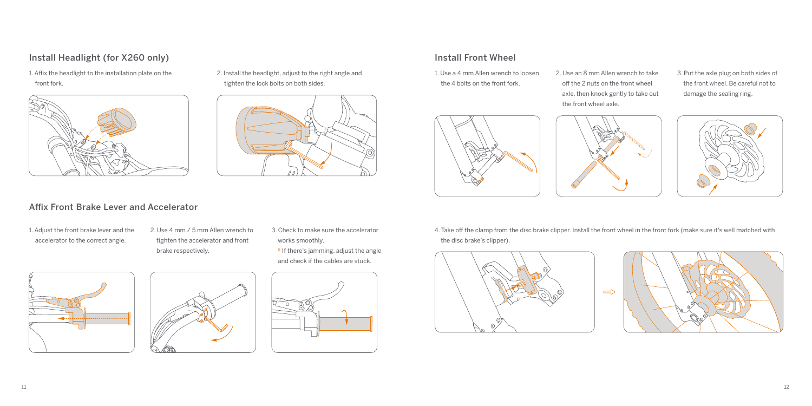## Install Headlight (for X260 only)

1. Affix the headlight to the installation plate on the front fork.



2. Install the headlight, adjust to the right angle and tighten the lock bolts on both sides.



# Install Front Wheel

1. Use a 4 mm Allen wrench to loosen the 4 bolts on the front fork.



- 2. Use an 8 mm Allen wrench to take off the 2 nuts on the front wheel axle, then knock gently to take out the front wheel axle.
- 3. Put the axle plug on both sides of the front wheel. Be careful not to damage the sealing ring.



### Affix Front Brake Lever and Accelerator

- 1. Adjust the front brake lever and the accelerator to the correct angle.
- 2. Use 4 mm / 5 mm Allen wrench to tighten the accelerator and front brake respectively.
- 3. Check to make sure the accelerator works smoothly. \* If there's jamming, adjust the angle
- and check if the cables are stuck.







4. Take off the clamp from the disc brake clipper. Install the front wheel in the front fork (make sure it's well matched with the disc brake's clipper).



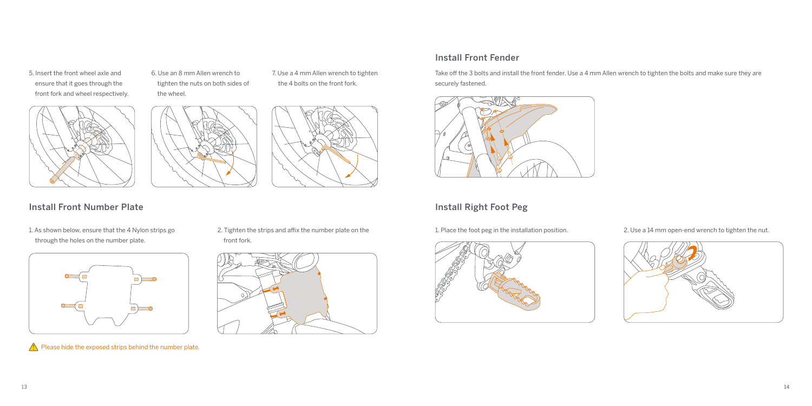5. Insert the front wheel axle and ensure that it goes through the front fork and wheel respectively. 6. Use an 8 mm Allen wrench to tighten the nuts on both sides of the wheel.

7. Use a 4 mm Allen wrench to tighten the 4 bolts on the front fork.







## Install Front Number Plate

1. As shown below, ensure that the 4 Nylon strips go through the holes on the number plate.



 $\Lambda$  Please hide the exposed strips behind the number plate.

2. Tighten the strips and affix the number plate on the front fork.



#### Install Front Fender

Take off the 3 bolts and install the front fender. Use a 4 mm Allen wrench to tighten the bolts and make sure they are securely fastened.



## Install Right Foot Peg

1. Place the foot peg in the installation position. 2. Use a 14 mm open-end wrench to tighten the nut.



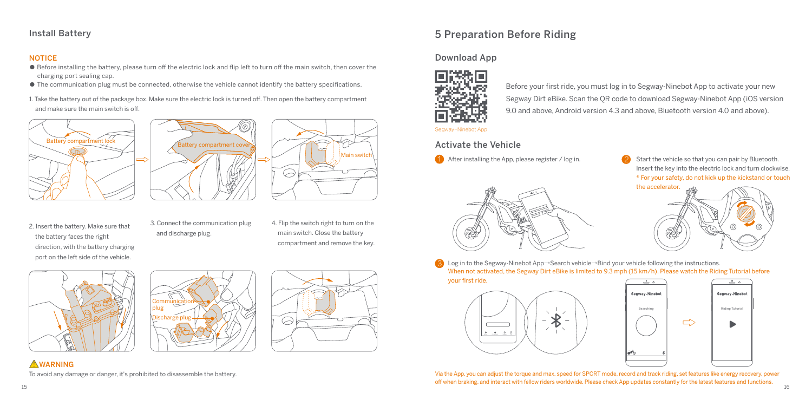## Install Battery

#### **NOTICE**

- Before installing the battery, please turn off the electric lock and flip left to turn off the main switch, then cover the charging port sealing cap.
- The communication plug must be connected, otherwise the vehicle cannot identify the battery specifications.
- 1. Take the battery out of the package box. Make sure the electric lock is turned off. Then open the battery compartment and make sure the main switch is off.







- 2. Insert the battery. Make sure that the battery faces the right direction, with the battery charging port on the left side of the vehicle.
- 3. Connect the communication plug and discharge plug.
- 4. Flip the switch right to turn on the main switch. Close the battery compartment and remove the key.

Ó







To avoid any damage or danger, it's prohibited to disassemble the battery.

# 5 Preparation Before Riding

## Download App



Before your first ride, you must log in to Segway-Ninebot App to activate your new Segway Dirt eBike. Scan the QR code to download Segway-Ninebot App (iOS version 9.0 and above, Android version 4.3 and above, Bluetooth version 4.0 and above).

#### Segway-Ninebot App

#### Activate the Vehicle

1 After installing the App, please register / log in.



Start the vehicle so that you can pair by Bluetooth. Insert the key into the electric lock and turn clockwise. \* For your safety, do not kick up the kickstand or touch 2



3) Log in to the Segway-Ninebot App→Search vehicle→Bind your vehicle following the instructions. When not activated, the Segway Dirt eBike is limited to 9.3 mph (15 km/h). Please watch the Riding Tutorial before

your first ride.





15 16 Via the App, you can adjust the torque and max. speed for SPORT mode, record and track riding, set features like energy recovery, power off when braking, and interact with fellow riders worldwide. Please check App updates constantly for the latest features and functions.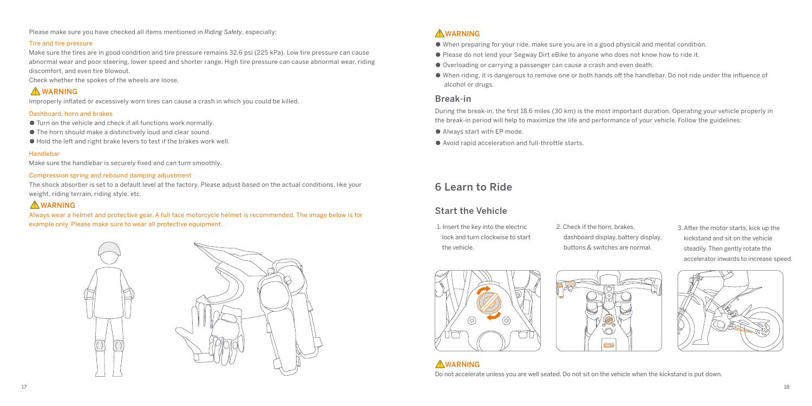Please make sure you have checked all items mentioned in *Riding Safety*, especially:

#### Tire and tire pressure

Make sure the tires are in good condition and tire pressure remains 32.6 psi (225 kPa). Low tire pressure can cause abnormal wear and poor steering, lower speed and shorter range. High tire pressure can cause abnormal wear, riding discomfort, and even tire blowout.

Check whether the spokes of the wheels are loose.

## **AWARNING**

Improperly inflated or excessively worn tires can cause a crash in which you could be killed.

#### Dashboard, horn and brakes

- Turn on the vehicle and check if all functions work normally.
- The horn should make a distinctively loud and clear sound.
- Hold the left and right brake levers to test if the brakes work well.

#### Handlebar

Make sure the handlebar is securely fixed and can turn smoothly.

#### Compression spring and rebound damping adjustment

The shock absorber is set to a default level at the factory. Please adjust based on the actual conditions, like your weight, riding terrain, riding style, etc.

#### **AWARNING**

Always wear a helmet and protective gear. A full face motorcycle helmet is recommended. The image below is for example only. Please make sure to wear all protective equipment.



#### **AWARNING**

- When preparing for your ride, make sure you are in a good physical and mental condition.
- Please do not lend your Segway Dirt eBike to anyone who does not know how to ride it.
- Overloading or carrying a passenger can cause a crash and even death.
- When riding, it is dangerous to remove one or both hands off the handlebar. Do not ride under the influence of alcohol or drugs.

#### Break-in

During the break-in, the first 18.6 miles (30 km) is the most important duration. Operating your vehicle properly in the break-in period will help to maximize the life and performance of your vehicle. Follow the guidelines:

- Always start with EP mode.
- Avoid rapid acceleration and full-throttle starts.

# 6 Learn to Ride

## Start the Vehicle

- 1. Insert the key into the electric lock and turn clockwise to start the vehicle.
- 2. Check if the horn, brakes, dashboard display, battery display, buttons & switches are normal.
- 3. After the motor starts, kick up the kickstand and sit on the vehicle steadily. Then gently rotate the accelerator inwards to increase speed.



**AWARNING** 



Do not accelerate unless you are well seated. Do not sit on the vehicle when the kickstand is put down.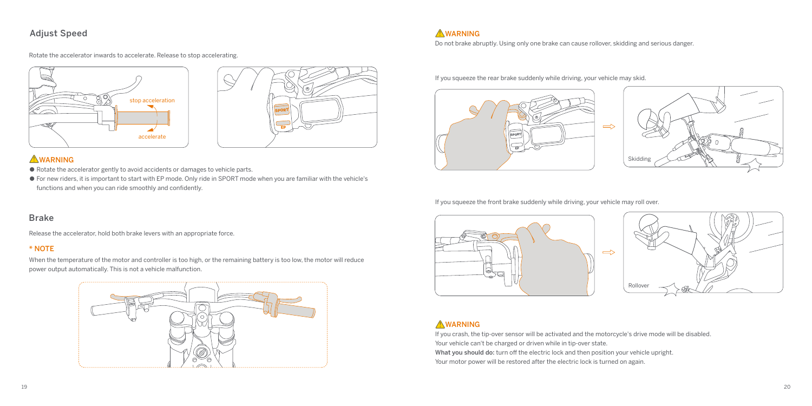#### Adjust Speed

Rotate the accelerator inwards to accelerate. Release to stop accelerating.





#### **AWARNING**

- Rotate the accelerator gently to avoid accidents or damages to vehicle parts.
- For new riders, it is important to start with EP mode. Only ride in SPORT mode when you are familiar with the vehicle's functions and when you can ride smoothly and confidently.

#### Brake

Release the accelerator, hold both brake levers with an appropriate force.

#### \* NOTE

When the temperature of the motor and controller is too high, or the remaining battery is too low, the motor will reduce power output automatically. This is not a vehicle malfunction.



**AWARNING** 

Do not brake abruptly. Using only one brake can cause rollover, skidding and serious danger.

If you squeeze the rear brake suddenly while driving, your vehicle may skid.





If you squeeze the front brake suddenly while driving, your vehicle may roll over.





## **AWARNING**

If you crash, the tip-over sensor will be activated and the motorcycle's drive mode will be disabled. Your vehicle can't be charged or driven while in tip-over state. What you should do: turn off the electric lock and then position your vehicle upright. Your motor power will be restored after the electric lock is turned on again.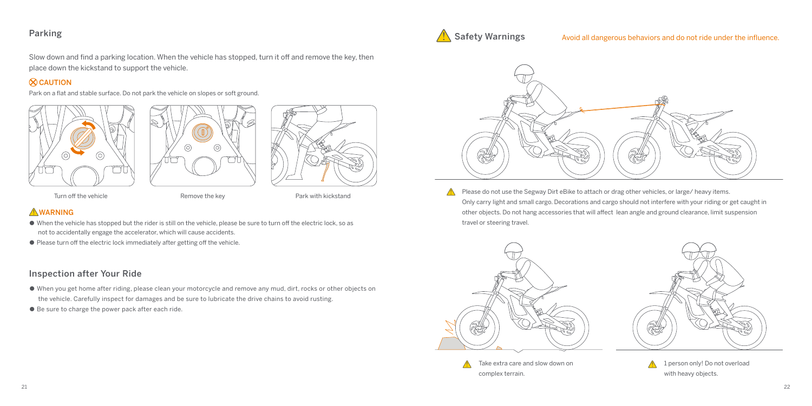#### Parking

Slow down and find a parking location. When the vehicle has stopped, turn it off and remove the key, then place down the kickstand to support the vehicle.

#### $\infty$ CAUTION

Park on a flat and stable surface. Do not park the vehicle on slopes or soft ground.







Turn off the vehicle **EXACTE REMOVE THE REMOVE THE REMOVE THE REMOVE THE REMOVE THE REMOVE THE REMOVE THE REMOVE T** 

## **AWARNING**

- When the vehicle has stopped but the rider is still on the vehicle, please be sure to turn off the electric lock, so as not to accidentally engage the accelerator, which will cause accidents.
- Please turn off the electric lock immediately after getting off the vehicle.

## Inspection after Your Ride

- When you get home after riding, please clean your motorcycle and remove any mud, dirt, rocks or other objects on the vehicle. Carefully inspect for damages and be sure to lubricate the drive chains to avoid rusting.
- Be sure to charge the power pack after each ride.



Avoid all dangerous behaviors and do not ride under the influence.



Please do not use the Segway Dirt eBike to attach or drag other vehicles, or large/ heavy items.  $\triangle$ Only carry light and small cargo. Decorations and cargo should not interfere with your riding or get caught in other objects. Do not hang accessories that will affect lean angle and ground clearance, limit suspension travel or steering travel.





1 person only! Do not overload with heavy objects.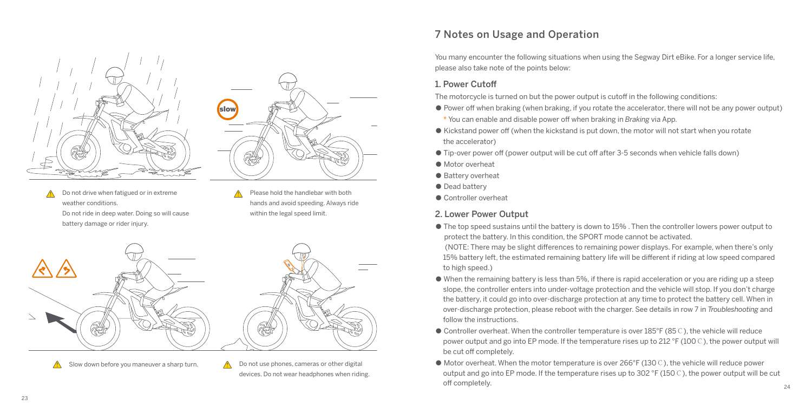

Do not drive when fatigued or in extreme weather conditions. Do not ride in deep water. Doing so will cause battery damage or rider injury.

Please hold the handlebar with both hands and avoid speeding. Always ride within the legal speed limit.



Slow down before you maneuver a sharp turn.  $\mathbb{A}$  Do not use phones, cameras or other digital devices. Do not wear headphones when riding.

# 7 Notes on Usage and Operation

You many encounter the following situations when using the Segway Dirt eBike. For a longer service life, please also take note of the points below:

#### 1. Power Cutoff

The motorcycle is turned on but the power output is cutoff in the following conditions:

- Power off when braking (when braking, if you rotate the accelerator, there will not be any power output) \* You can enable and disable power off when braking in *Braking* via App.
- Kickstand power off (when the kickstand is put down, the motor will not start when you rotate the accelerator)
- Tip-over power off (power output will be cut off after 3-5 seconds when vehicle falls down)
- Motor overheat
- Battery overheat
- Dead battery
- Controller overheat

## 2. Lower Power Output

● The top speed sustains until the battery is down to 15% . Then the controller lowers power output to protect the battery. In this condition, the SPORT mode cannot be activated.

 (NOTE: There may be slight differences to remaining power displays. For example, when there's only 15% battery left, the estimated remaining battery life will be different if riding at low speed compared to high speed.)

- When the remaining battery is less than 5%, if there is rapid acceleration or you are riding up a steep slope, the controller enters into under-voltage protection and the vehicle will stop. If you don't charge the battery, it could go into over-discharge protection at any time to protect the battery cell. When in over-discharge protection, please reboot with the charger. See details in row 7 in *Troubleshooting* and follow the instructions.
- Controller overheat. When the controller temperature is over 185°F (85℃), the vehicle will reduce power output and go into EP mode. If the temperature rises up to 212 °F (100℃), the power output will be cut off completely.
- Motor overheat. When the motor temperature is over 266°F (130℃), the vehicle will reduce power output and go into EP mode. If the temperature rises up to 302 °F (150℃), the power output will be cut off completely. 24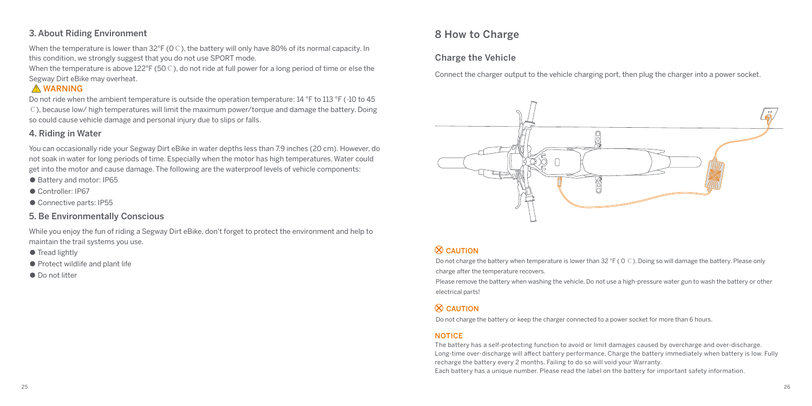## 3. About Riding Environment

When the temperature is lower than 32°F (0℃), the battery will only have 80% of its normal capacity. In this condition, we strongly suggest that you do not use SPORT mode.

When the temperature is above 122°F (50℃), do not ride at full power for a long period of time or else the Segway Dirt eBike may overheat.

## **A** WARNING

Do not ride when the ambient temperature is outside the operation temperature: 14 °F to 113 °F (-10 to 45 ℃), because low/ high temperatures will limit the maximum power/torque and damage the battery. Doing so could cause vehicle damage and personal injury due to slips or falls.

## 4. Riding in Water

You can occasionally ride your Segway Dirt eBike in water depths less than 7.9 inches (20 cm). However, do not soak in water for long periods of time. Especially when the motor has high temperatures. Water could get into the motor and cause damage. The following are the waterproof levels of vehicle components:

- Battery and motor: IP65
- Controller: IP67
- Connective parts: IP55

## 5. Be Environmentally Conscious

While you enjoy the fun of riding a Segway Dirt eBike, don't forget to protect the environment and help to maintain the trail systems you use.

- Tread lightly
- Protect wildlife and plant life
- Do not litter

# 8 How to Charge

#### Charge the Vehicle

Connect the charger output to the vehicle charging port, then plug the charger into a power socket.



# $\otimes$  CAUTION

Do not charge the battery when temperature is lower than 32 °F ( 0 ℃). Doing so will damage the battery. Please only charge after the temperature recovers.

Please remove the battery when washing the vehicle. Do not use a high-pressure water gun to wash the battery or other electrical parts!

## $\otimes$  CAUTION

Do not charge the battery or keep the charger connected to a power socket for more than 6 hours.

#### **NOTICE**

The battery has a self-protecting function to avoid or limit damages caused by overcharge and over-discharge. Long-time over-discharge will affect battery performance. Charge the battery immediately when battery is low. Fully recharge the battery every 2 months. Failing to do so will void your Warranty.

Each battery has a unique number. Please read the label on the battery for important safety information.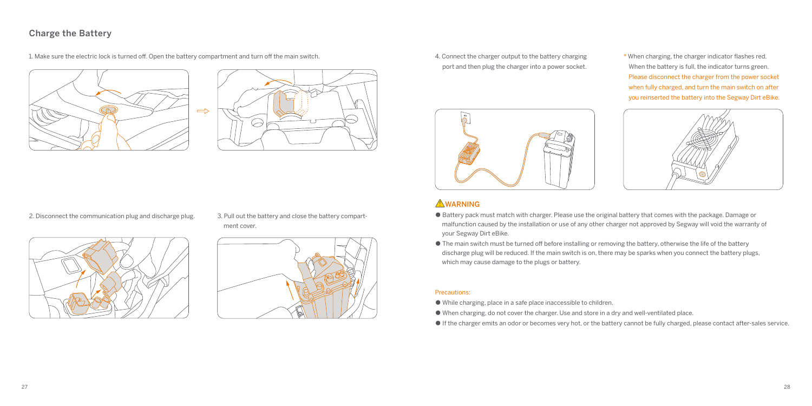### Charge the Battery

1. Make sure the electric lock is turned off. Open the battery compartment and turn off the main switch.





2. Disconnect the communication plug and discharge plug. 3. Pull out the battery and close the battery compartment cover.





4. Connect the charger output to the battery charging port and then plug the charger into a power socket.



\* When charging, the charger indicator flashes red. When the battery is full, the indicator turns green. Please disconnect the charger from the power socket when fully charged, and turn the main switch on after you reinserted the battery into the Segway Dirt eBike.



#### **AWARNING**

- Battery pack must match with charger. Please use the original battery that comes with the package. Damage or malfunction caused by the installation or use of any other charger not approved by Segway will void the warranty of your Segway Dirt eBike.
- The main switch must be turned off before installing or removing the battery, otherwise the life of the battery discharge plug will be reduced. If the main switch is on, there may be sparks when you connect the battery plugs, which may cause damage to the plugs or battery.

#### Precautions:

- While charging, place in a safe place inaccessible to children.
- When charging, do not cover the charger. Use and store in a dry and well-ventilated place.
- If the charger emits an odor or becomes very hot, or the battery cannot be fully charged, please contact after-sales service.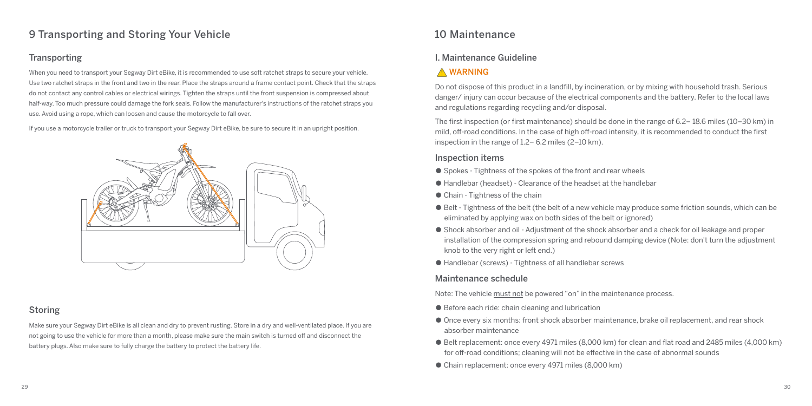# 9 Transporting and Storing Your Vehicle

## **Transporting**

When you need to transport your Segway Dirt eBike, it is recommended to use soft ratchet straps to secure your vehicle. Use two ratchet straps in the front and two in the rear. Place the straps around a frame contact point. Check that the straps do not contact any control cables or electrical wirings. Tighten the straps until the front suspension is compressed about half-way. Too much pressure could damage the fork seals. Follow the manufacturer's instructions of the ratchet straps you use. Avoid using a rope, which can loosen and cause the motorcycle to fall over.

If you use a motorcycle trailer or truck to transport your Segway Dirt eBike, be sure to secure it in an upright position.



#### Storing

Make sure your Segway Dirt eBike is all clean and dry to prevent rusting. Store in a dry and well-ventilated place. If you are not going to use the vehicle for more than a month, please make sure the main switch is turned off and disconnect the battery plugs. Also make sure to fully charge the battery to protect the battery life.

# 10 Maintenance

#### I. Maintenance Guideline

## **A** WARNING

Do not dispose of this product in a landfill, by incineration, or by mixing with household trash. Serious danger/ injury can occur because of the electrical components and the battery. Refer to the local laws and regulations regarding recycling and/or disposal.

The first inspection (or first maintenance) should be done in the range of 6.2– 18.6 miles (10–30 km) in mild, off-road conditions. In the case of high off-road intensity, it is recommended to conduct the first inspection in the range of 1.2– 6.2 miles (2–10 km).

#### Inspection items

- Spokes Tightness of the spokes of the front and rear wheels
- Handlebar (headset) Clearance of the headset at the handlebar
- Chain Tightness of the chain
- Belt Tightness of the belt (the belt of a new vehicle may produce some friction sounds, which can be eliminated by applying wax on both sides of the belt or ignored)
- Shock absorber and oil Adjustment of the shock absorber and a check for oil leakage and proper installation of the compression spring and rebound damping device (Note: don't turn the adjustment knob to the very right or left end.)
- Handlebar (screws) Tightness of all handlebar screws

#### Maintenance schedule

Note: The vehicle must not be powered "on" in the maintenance process.

- Before each ride: chain cleaning and lubrication
- Once every six months: front shock absorber maintenance, brake oil replacement, and rear shock absorber maintenance
- Belt replacement: once every 4971 miles (8,000 km) for clean and flat road and 2485 miles (4,000 km) for off-road conditions; cleaning will not be effective in the case of abnormal sounds
- Chain replacement: once every 4971 miles (8,000 km)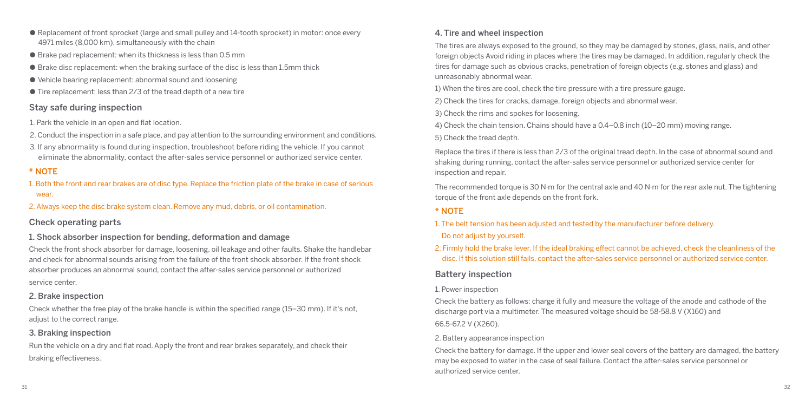- Replacement of front sprocket (large and small pulley and 14-tooth sprocket) in motor: once every 4971 miles (8,000 km), simultaneously with the chain
- $\bullet$  Brake pad replacement: when its thickness is less than 0.5 mm
- $\bullet$  Brake disc replacement: when the braking surface of the disc is less than 1.5mm thick
- Vehicle bearing replacement: abnormal sound and loosening
- Tire replacement: less than 2/3 of the tread depth of a new tire

#### Stay safe during inspection

- 1. Park the vehicle in an open and flat location.
- 2. Conduct the inspection in a safe place, and pay attention to the surrounding environment and conditions.
- 3. If any abnormality is found during inspection, troubleshoot before riding the vehicle. If you cannot eliminate the abnormality, contact the after-sales service personnel or authorized service center.

#### \* NOTE

- 1. Both the front and rear brakes are of disc type. Replace the friction plate of the brake in case of serious wear.
- 2. Always keep the disc brake system clean. Remove any mud, debris, or oil contamination.

#### Check operating parts

#### 1. Shock absorber inspection for bending, deformation and damage

Check the front shock absorber for damage, loosening, oil leakage and other faults. Shake the handlebar and check for abnormal sounds arising from the failure of the front shock absorber. If the front shock absorber produces an abnormal sound, contact the after-sales service personnel or authorized service center.

#### 2. Brake inspection

Check whether the free play of the brake handle is within the specified range (15–30 mm). If it's not, adjust to the correct range.

#### 3. Braking inspection

Run the vehicle on a dry and flat road. Apply the front and rear brakes separately, and check their braking effectiveness.

#### 4. Tire and wheel inspection

The tires are always exposed to the ground, so they may be damaged by stones, glass, nails, and other foreign objects Avoid riding in places where the tires may be damaged. In addition, regularly check the tires for damage such as obvious cracks, penetration of foreign objects (e.g. stones and glass) and unreasonably abnormal wear.

1) When the tires are cool, check the tire pressure with a tire pressure gauge.

2) Check the tires for cracks, damage, foreign objects and abnormal wear.

- 3) Check the rims and spokes for loosening.
- 4) Check the chain tension. Chains should have a 0.4–0.8 inch (10–20 mm) moving range.

5) Check the tread depth.

Replace the tires if there is less than 2/3 of the original tread depth. In the case of abnormal sound and shaking during running, contact the after-sales service personnel or authorized service center for inspection and repair.

The recommended torque is 30 N·m for the central axle and 40 N·m for the rear axle nut. The tightening torque of the front axle depends on the front fork.

#### \* NOTE

1. The belt tension has been adjusted and tested by the manufacturer before delivery.

#### Do not adjust by yourself.

2. Firmly hold the brake lever. If the ideal braking effect cannot be achieved, check the cleanliness of the disc. If this solution still fails, contact the after-sales service personnel or authorized service center.

#### Battery inspection

#### 1. Power inspection

Check the battery as follows: charge it fully and measure the voltage of the anode and cathode of the discharge port via a multimeter. The measured voltage should be 58-58.8 V (X160) and 66.5-67.2 V (X260).

#### 2. Battery appearance inspection

Check the battery for damage. If the upper and lower seal covers of the battery are damaged, the battery may be exposed to water in the case of seal failure. Contact the after-sales service personnel or authorized service center.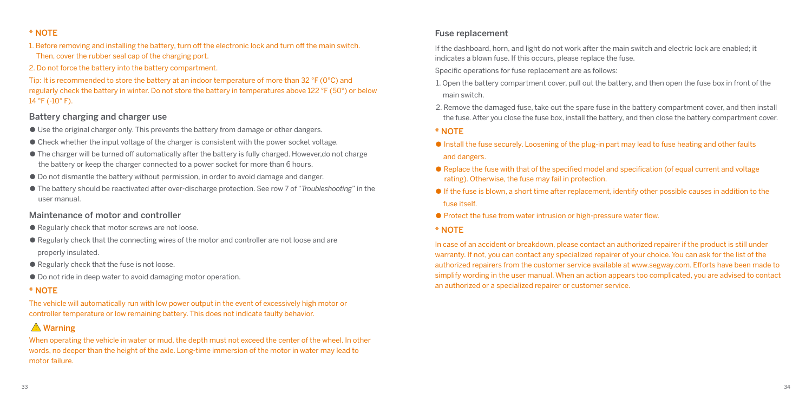#### \* NOTE

1. Before removing and installing the battery, turn off the electronic lock and turn off the main switch. Then, cover the rubber seal cap of the charging port.

2. Do not force the battery into the battery compartment.

Tip: It is recommended to store the battery at an indoor temperature of more than 32 °F (0°C) and regularly check the battery in winter. Do not store the battery in temperatures above 122 °F (50°) or below 14 °F (-10° F).

#### Battery charging and charger use

- Use the original charger only. This prevents the battery from damage or other dangers.
- Check whether the input voltage of the charger is consistent with the power socket voltage.
- The charger will be turned off automatically after the battery is fully charged. However,do not charge the battery or keep the charger connected to a power socket for more than 6 hours.
- Do not dismantle the battery without permission, in order to avoid damage and danger.
- The battery should be reactivated after over-discharge protection. See row 7 of "*Troubleshooting*" in the user manual.

#### Maintenance of motor and controller

- Regularly check that motor screws are not loose.
- Regularly check that the connecting wires of the motor and controller are not loose and are properly insulated.
- Regularly check that the fuse is not loose.
- Do not ride in deep water to avoid damaging motor operation.

#### \* NOTE

The vehicle will automatically run with low power output in the event of excessively high motor or controller temperature or low remaining battery. This does not indicate faulty behavior.

# Warning

When operating the vehicle in water or mud, the depth must not exceed the center of the wheel. In other words, no deeper than the height of the axle. Long-time immersion of the motor in water may lead to motor failure.

#### Fuse replacement

If the dashboard, horn, and light do not work after the main switch and electric lock are enabled; it indicates a blown fuse. If this occurs, please replace the fuse.

Specific operations for fuse replacement are as follows:

- 1. Open the battery compartment cover, pull out the battery, and then open the fuse box in front of the main switch.
- 2. Remove the damaged fuse, take out the spare fuse in the battery compartment cover, and then install the fuse. After you close the fuse box, install the battery, and then close the battery compartment cover.

\* NOTE

- Install the fuse securely. Loosening of the plug-in part may lead to fuse heating and other faults and dangers.
- Replace the fuse with that of the specified model and specification (of equal current and voltage rating). Otherwise, the fuse may fail in protection.
- $\bullet$  If the fuse is blown, a short time after replacement, identify other possible causes in addition to the fuse itself.
- Protect the fuse from water intrusion or high-pressure water flow.
- \* NOTE

In case of an accident or breakdown, please contact an authorized repairer if the product is still under warranty. If not, you can contact any specialized repairer of your choice. You can ask for the list of the authorized repairers from the customer service available at www.segway.com. Efforts have been made to simplify wording in the user manual. When an action appears too complicated, you are advised to contact an authorized or a specialized repairer or customer service.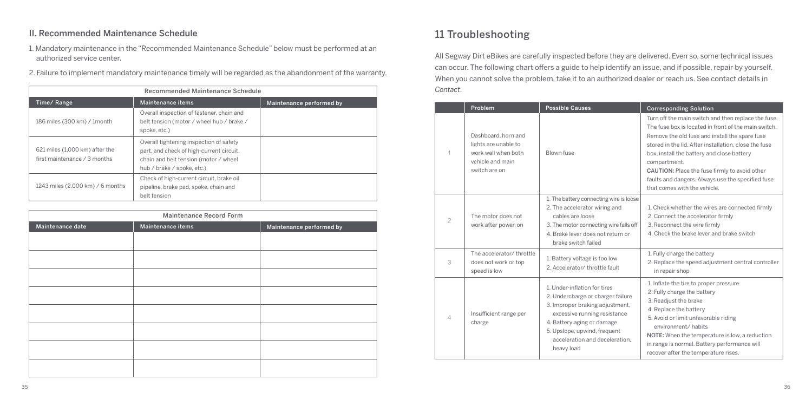## II. Recommended Maintenance Schedule

- 1. Mandatory maintenance in the "Recommended Maintenance Schedule" below must be performed at an authorized service center.
- 2. Failure to implement mandatory maintenance timely will be regarded as the abandonment of the warranty.

| Recommended Maintenance Schedule                               |                                                                                                                                                            |                          |  |
|----------------------------------------------------------------|------------------------------------------------------------------------------------------------------------------------------------------------------------|--------------------------|--|
| Time/Range                                                     | Maintenance items                                                                                                                                          | Maintenance performed by |  |
| 186 miles (300 km) / 1month                                    | Overall inspection of fastener, chain and<br>belt tension (motor / wheel hub / brake /<br>spoke, etc.)                                                     |                          |  |
| 621 miles (1,000 km) after the<br>first maintenance / 3 months | Overall tightening inspection of safety<br>part, and check of high-current circuit,<br>chain and belt tension (motor / wheel<br>hub / brake / spoke, etc.) |                          |  |
| 1243 miles (2,000 km) / 6 months                               | Check of high-current circuit, brake oil<br>pipeline, brake pad, spoke, chain and<br>belt tension                                                          |                          |  |

| Maintenance Record Form |                   |                          |  |
|-------------------------|-------------------|--------------------------|--|
| Maintenance date        | Maintenance items | Maintenance performed by |  |
|                         |                   |                          |  |
|                         |                   |                          |  |
|                         |                   |                          |  |
|                         |                   |                          |  |
|                         |                   |                          |  |
|                         |                   |                          |  |
|                         |                   |                          |  |
|                         |                   |                          |  |
|                         |                   |                          |  |

# 11 Troubleshooting

All Segway Dirt eBikes are carefully inspected before they are delivered. Even so, some technical issues can occur. The following chart offers a guide to help identify an issue, and if possible, repair by yourself. When you cannot solve the problem, take it to an authorized dealer or reach us. See contact details in *Contact*.

|                | Problem                                                                                                 | <b>Possible Causes</b>                                                                                                                                                                                                                             | <b>Corresponding Solution</b>                                                                                                                                                                                                                                                                                                                                                                                              |
|----------------|---------------------------------------------------------------------------------------------------------|----------------------------------------------------------------------------------------------------------------------------------------------------------------------------------------------------------------------------------------------------|----------------------------------------------------------------------------------------------------------------------------------------------------------------------------------------------------------------------------------------------------------------------------------------------------------------------------------------------------------------------------------------------------------------------------|
|                | Dashboard, horn and<br>lights are unable to<br>work well when both<br>vehicle and main<br>switch are on | Blown fuse                                                                                                                                                                                                                                         | Turn off the main switch and then replace the fuse.<br>The fuse box is located in front of the main switch.<br>Remove the old fuse and install the spare fuse<br>stored in the lid. After installation, close the fuse<br>box, install the battery and close battery<br>compartment.<br>CAUTION: Place the fuse firmly to avoid other<br>faults and dangers. Always use the specified fuse<br>that comes with the vehicle. |
| $\overline{c}$ | The motor does not<br>work after power-on                                                               | 1. The battery connecting wire is loose<br>2. The accelerator wiring and<br>cables are loose<br>3. The motor connecting wire falls off<br>4. Brake lever does not return or<br>brake switch failed                                                 | 1. Check whether the wires are connected firmly<br>2. Connect the accelerator firmly<br>3. Reconnect the wire firmly<br>4. Check the brake lever and brake switch                                                                                                                                                                                                                                                          |
| 3              | The accelerator/ throttle<br>does not work or top<br>speed is low                                       | 1. Battery voltage is too low<br>2. Accelerator/ throttle fault                                                                                                                                                                                    | 1. Fully charge the battery<br>2. Replace the speed adjustment central controller<br>in repair shop                                                                                                                                                                                                                                                                                                                        |
| 4              | Insufficient range per<br>charge                                                                        | 1. Under-inflation for tires<br>2. Undercharge or charger failure<br>3. Improper braking adjustment,<br>excessive running resistance<br>4. Battery aging or damage<br>5. Upslope, upwind, frequent<br>acceleration and deceleration.<br>heavy load | 1. Inflate the tire to proper pressure<br>2. Fully charge the battery<br>3. Readjust the brake<br>4. Replace the battery<br>5. Avoid or limit unfavorable riding<br>environment/ habits<br>NOTE: When the temperature is low, a reduction<br>in range is normal. Battery performance will<br>recover after the temperature rises.                                                                                          |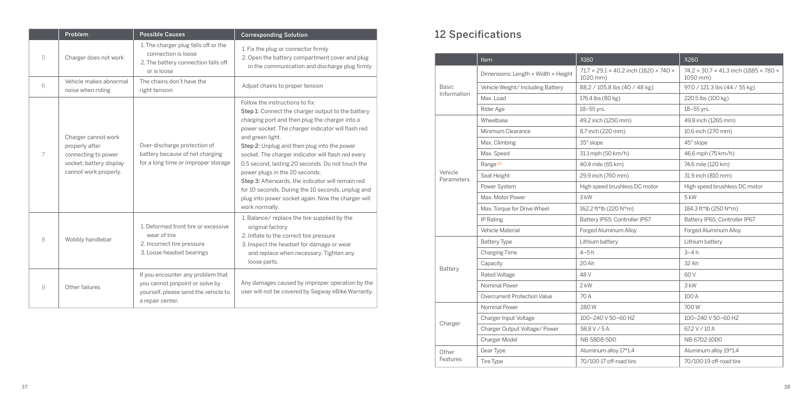|   | Problem                                                                                                          | <b>Possible Causes</b>                                                                                                           | <b>Corresponding Solution</b>                                                                                                                                                                                                                                                                                                                                                                                                                                                                                                                                                                 |
|---|------------------------------------------------------------------------------------------------------------------|----------------------------------------------------------------------------------------------------------------------------------|-----------------------------------------------------------------------------------------------------------------------------------------------------------------------------------------------------------------------------------------------------------------------------------------------------------------------------------------------------------------------------------------------------------------------------------------------------------------------------------------------------------------------------------------------------------------------------------------------|
| 5 | Charger does not work                                                                                            | 1. The charger plug falls off or the<br>connection is loose<br>2. The battery connection falls off<br>or is loose.               | 1. Fix the plug or connector firmly<br>2. Open the battery compartment cover and plug<br>in the communication and discharge plug firmly                                                                                                                                                                                                                                                                                                                                                                                                                                                       |
| 6 | Vehicle makes abnormal<br>noise when riding                                                                      | The chains don't have the<br>right tension                                                                                       | Adjust chains to proper tension                                                                                                                                                                                                                                                                                                                                                                                                                                                                                                                                                               |
| 7 | Charger cannot work<br>properly after<br>connecting to power<br>socket; battery display<br>cannot work properly. | Over-discharge protection of<br>battery because of not charging<br>for a long time or improper storage                           | Follow the instructions to fix:<br>Step 1: Connect the charger output to the battery<br>charging port and then plug the charger into a<br>power socket. The charger indicator will flash red<br>and green light.<br>Step 2: Unplug and then plug into the power<br>socket. The charger indicator will flash red every<br>0.5 second, lasting 20 seconds. Do not touch the<br>power plugs in the 20 seconds.<br>Step 3: Afterwards, the indicator will remain red<br>for 10 seconds. During the 10 seconds, unplug and<br>plug into power socket again. Now the charger will<br>work normally. |
| 8 | Wobbly handlebar                                                                                                 | 1. Deformed front tire or excessive<br>wear of tire<br>2. Incorrect tire pressure<br>3. Loose headset bearings                   | 1. Balance/ replace the tire supplied by the<br>original factory<br>2. Inflate to the correct tire pressure<br>3. Inspect the headset for damage or wear<br>and replace when necessary. Tighten any<br>loose parts.                                                                                                                                                                                                                                                                                                                                                                           |
| 9 | Other failures                                                                                                   | If you encounter any problem that<br>you cannot pinpoint or solve by<br>yourself, please send the vehicle to<br>a repair center. | Any damages caused by improper operation by the<br>user will not be covered by Segway eBike Warranty.                                                                                                                                                                                                                                                                                                                                                                                                                                                                                         |

# 12 Specifications

|                       | <u>Item</u>                         | X160                                              | X260                                              |
|-----------------------|-------------------------------------|---------------------------------------------------|---------------------------------------------------|
|                       | Dimensions: Length × Width × Height | 71.7 × 29.1 × 40.2 inch (1820 × 740 ×<br>1020 mm) | 74.2 × 30.7 × 41.3 inch (1885 × 780 ×<br>1050 mm) |
| <b>Basic</b>          | Vehicle Weight/Including Battery    | 88.2 / 105.8 lbs (40 / 48 kg)                     | 97.0 / 121.3 lbs (44 / 55 kg)                     |
| Information           | Max. Load                           | 176.4 lbs (80 kg)                                 | 220.5 lbs (100 kg)                                |
|                       | Rider Age                           | 18-55 vrs.                                        | 18-55 vrs.                                        |
|                       | Wheelbase                           | 49.2 inch (1250 mm)                               | 49.8 inch (1265 mm)                               |
|                       | Minimum Clearance                   | 8.7 inch (220 mm)                                 | 10.6 inch (270 mm)                                |
|                       | Max. Climbing                       | 35° slope                                         | 45° slope                                         |
|                       | Max. Speed                          | 31.1 mph (50 km/h)                                | 46.6 mph (75 km/h)                                |
|                       | Range <sup>[1]</sup>                | 40.4 mile (65 km)                                 | 74.6 mile (120 km)                                |
| Vehicle<br>Parameters | Seat Height                         | 29.9 inch (760 mm)                                | 31.9 inch (810 mm)                                |
|                       | Power System                        | High speed brushless DC motor                     | High speed brushless DC motor                     |
|                       | Max. Motor Power                    | 3 kW                                              | 5 <sub>kW</sub>                                   |
|                       | Max. Torque for Drive Wheel         | 162.2 ft*lb (220 N*m)                             | 184.3 ft*lb (250 N*m)                             |
|                       | IP Rating                           | Battery IP65; Controller IP67                     | Battery IP65; Controller IP67                     |
|                       | Vehicle Material                    | Forged Aluminum Allov                             | Forged Aluminum Allov                             |
|                       | <b>Battery Type</b>                 | Lithium battery                                   | Lithium battery                                   |
|                       | <b>Charging Time</b>                | $4-5h$                                            | $3-4h$                                            |
|                       | Capacity                            | 20 Ah                                             | 32 Ah                                             |
| Battery               | Rated Voltage                       | 48 V                                              | 60 V                                              |
|                       | Nominal Power                       | 2 kW                                              | 3 kW                                              |
|                       | Overcurrent Protection Value        | 70 A                                              | 100 A                                             |
|                       | Nominal Power                       | 280W                                              | 700W                                              |
|                       | Charger Input Voltage               | 100-240 V 50-60 HZ                                | 100-240 V 50-60 HZ                                |
| Charger               | Charger Output Voltage/ Power       | 58.8 V / 5 A                                      | 67.2 V / 10 A                                     |
|                       | Charger Model                       | NB-58D8-5D0                                       | NB-67D2-10D0                                      |
| Other                 | Gear Type                           | Aluminum alloy 17*1.4                             | Aluminum alloy 19*1.4                             |
| Features              | <b>Tire Type</b>                    | 70/100-17 off-road tire                           | 70/100-19 off-road tire                           |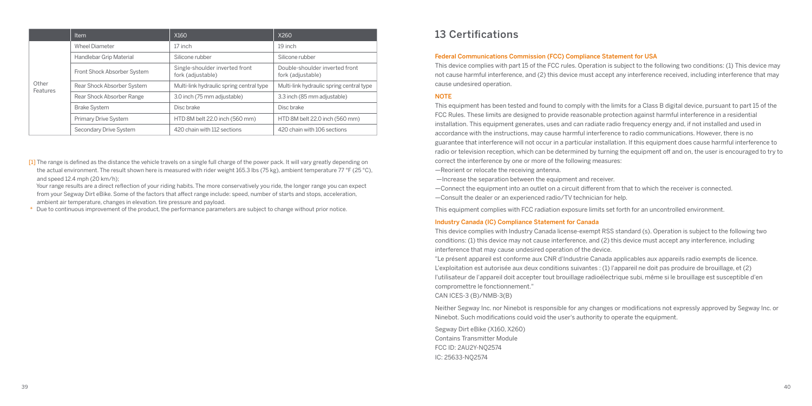|                   | Item                        | X160                                                | X260                                                |
|-------------------|-----------------------------|-----------------------------------------------------|-----------------------------------------------------|
|                   | <b>Wheel Diameter</b>       | 17 inch                                             | 19 inch                                             |
|                   | Handlebar Grip Material     | Silicone rubber                                     | Silicone rubber                                     |
|                   | Front Shock Absorber System | Single-shoulder inverted front<br>fork (adjustable) | Double-shoulder inverted front<br>fork (adjustable) |
| Other<br>Features | Rear Shock Absorber System  | Multi-link hydraulic spring central type            | Multi-link hydraulic spring central type            |
|                   | Rear Shock Absorber Range   | 3.0 inch (75 mm adjustable)                         | 3.3 inch (85 mm adjustable)                         |
|                   | <b>Brake System</b>         | Disc brake                                          | Disc brake                                          |
|                   | Primary Drive System        | HTD 8M belt 22.0 inch (560 mm)                      | HTD 8M belt 22.0 inch (560 mm)                      |
|                   | Secondary Drive System      | 420 chain with 112 sections                         | 420 chain with 106 sections                         |

[1] The range is defined as the distance the vehicle travels on a single full charge of the power pack. It will vary greatly depending on the actual environment. The result shown here is measured with rider weight 165.3 lbs (75 kg), ambient temperature 77 °F (25 °C), and speed 12.4 mph (20 km/h);

 Your range results are a direct reflection of your riding habits. The more conservatively you ride, the longer range you can expect from your Segway Dirt eBike. Some of the factors that affect range include: speed, number of starts and stops, acceleration, ambient air temperature, changes in elevation. tire pressure and payload.

Due to continuous improvement of the product, the performance parameters are subject to change without prior notice.

# 13 Certifications

#### Federal Communications Commission (FCC) Compliance Statement for USA

This device complies with part 15 of the FCC rules. Operation is subject to the following two conditions: (1) This device may not cause harmful interference, and (2) this device must accept any interference received, including interference that may cause undesired operation.

#### **NOTE**

This equipment has been tested and found to comply with the limits for a Class B digital device, pursuant to part 15 of the FCC Rules. These limits are designed to provide reasonable protection against harmful interference in a residential installation. This equipment generates, uses and can radiate radio frequency energy and, if not installed and used in accordance with the instructions, may cause harmful interference to radio communications. However, there is no guarantee that interference will not occur in a particular installation. If this equipment does cause harmful interference to radio or television reception, which can be determined by turning the equipment off and on, the user is encouraged to try to correct the interference by one or more of the following measures:

—Reorient or relocate the receiving antenna.

—Increase the separation between the equipment and receiver.

—Connect the equipment into an outlet on a circuit different from that to which the receiver is connected.

—Consult the dealer or an experienced radio/TV technician for help.

This equipment complies with FCC radiation exposure limits set forth for an uncontrolled environment.

#### Industry Canada (IC) Compliance Statement for Canada

This device complies with Industry Canada license-exempt RSS standard (s). Operation is subject to the following two conditions: (1) this device may not cause interference, and (2) this device must accept any interference, including interference that may cause undesired operation of the device.

"Le présent appareil est conforme aux CNR d'Industrie Canada applicables aux appareils radio exempts de licence. L'exploitation est autorisée aux deux conditions suivantes : (1) l'appareil ne doit pas produire de brouillage, et (2) l'utilisateur de l'appareil doit accepter tout brouillage radioélectrique subi, même si le brouillage est susceptible d'en compromettre le fonctionnement."

CAN ICES-3 (B)/NMB-3(B)

Neither Segway Inc. nor Ninebot is responsible for any changes or modifications not expressly approved by Segway Inc. or Ninebot. Such modifications could void the user's authority to operate the equipment.

Segway Dirt eBike (X160, X260) Contains Transmitter Module FCC ID: 2AU2Y-NQ2574 IC: 25633-NQ2574